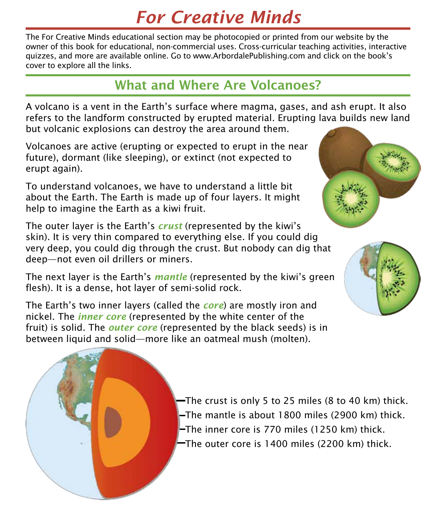## *For Creative Minds*

The For Creative Minds educational section may be photocopied or printed from our website by the owner of this book for educational, non-commercial uses. Cross-curricular teaching activities, interactive quizzes, and more are available online. Go to www.ArbordalePublishing.com and click on the book's cover to explore all the links.

#### What and Where Are Volcanoes?

A volcano is a vent in the Earth's surface where magma, gases, and ash erupt. It also refers to the landform constructed by erupted material. Erupting lava builds new land but volcanic explosions can destroy the area around them.

Volcanoes are active (erupting or expected to erupt in the near future), dormant (like sleeping), or extinct (not expected to erupt again).

To understand volcanoes, we have to understand a little bit about the Earth. The Earth is made up of four layers. It might help to imagine the Earth as a kiwi fruit.

The outer layer is the Earth's *crust* (represented by the kiwi's skin). It is very thin compared to everything else. If you could dig very deep, you could dig through the crust. But nobody can dig that deep—not even oil drillers or miners.

The next layer is the Earth's *mantle* (represented by the kiwi's green flesh). It is a dense, hot layer of semi-solid rock.

The Earth's two inner layers (called the *core*) are mostly iron and nickel. The *inner core* (represented by the white center of the fruit) is solid. The *outer core* (represented by the black seeds) is in between liquid and solid—more like an oatmeal mush (molten).







 $-$ The crust is only 5 to 25 miles (8 to 40 km) thick. The mantle is about 1800 miles (2900 km) thick. The inner core is 770 miles (1250 km) thick. The outer core is 1400 miles (2200 km) thick.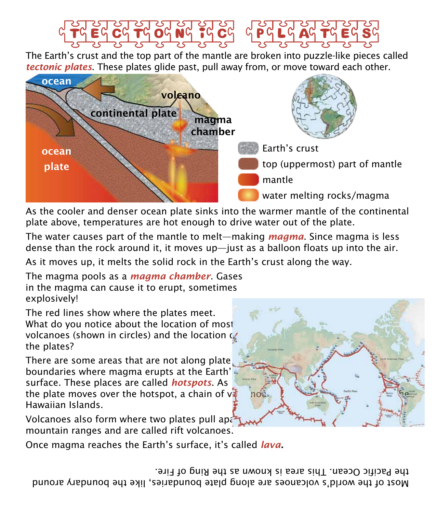# Tectonic Plates

The Earth's crust and the top part of the mantle are broken into puzzle-like pieces called *tectonic plates*. These plates glide past, pull away from, or move toward each other.



As the cooler and denser ocean plate sinks into the warmer mantle of the continental plate above, temperatures are hot enough to drive water out of the plate.

The water causes part of the mantle to melt—making *magma*. Since magma is less dense than the rock around it, it moves up—just as a balloon floats up into the air.

As it moves up, it melts the solid rock in the Earth's crust along the way.

The magma pools as a *magma chamber*. Gases in the magma can cause it to erupt, sometimes explosively!

The red lines show where the plates meet. What do you notice about the location of most volcanoes (shown in circles) and the location  $\mathcal{C}$ the plates?

There are some areas that are not along plate boundaries where magma erupts at the Earth' surface. These places are called *hotspots*. As the plate moves over the hotspot, a chain of  $v^2$ Hawaiian Islands.

Volcanoes also form where two plates pull apa mountain ranges and are called rift volcanoes.

Once magma reaches the Earth's surface, it's called *lava.*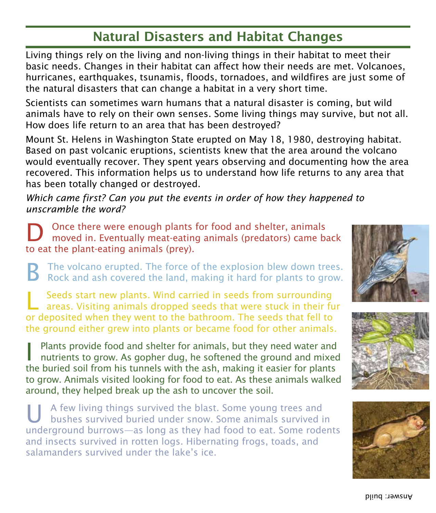### Natural Disasters and Habitat Changes

Living things rely on the living and non-living things in their habitat to meet their basic needs. Changes in their habitat can affect how their needs are met. Volcanoes, hurricanes, earthquakes, tsunamis, floods, tornadoes, and wildfires are just some of the natural disasters that can change a habitat in a very short time.

Scientists can sometimes warn humans that a natural disaster is coming, but wild animals have to rely on their own senses. Some living things may survive, but not all. How does life return to an area that has been destroyed?

Mount St. Helens in Washington State erupted on May 18, 1980, destroying habitat. Based on past volcanic eruptions, scientists knew that the area around the volcano would eventually recover. They spent years observing and documenting how the area recovered. This information helps us to understand how life returns to any area that has been totally changed or destroyed.

*Which came first? Can you put the events in order of how they happened to unscramble the word?*

Once there were enough plants for food and shelter, animals moved in. Eventually meat-eating animals (predators) came back to eat the plant-eating animals (prey).

B The volcano erupted. The force of the explosion blew down trees. Rock and ash covered the land, making it hard for plants to grow.

L Seeds start new plants. Wind carried in seeds from surrounding areas. Visiting animals dropped seeds that were stuck in their fur or deposited when they went to the bathroom. The seeds that fell to the ground either grew into plants or became food for other animals.

**I** Plants provide food and shelter for animals, but they need water and nutrients to grow. As gopher dug, he softened the ground and mixed the buried soil from his tunnels with the ash, making it easier for plants to grow. Animals visited looking for food to eat. As these animals walked around, they helped break up the ash to uncover the soil.

A few living things survived the blast. Some young trees and bushes survived buried under snow. Some animals survived in underground burrows—as long as they had food to eat. Some rodents and insects survived in rotten logs. Hibernating frogs, toads, and salamanders survived under the lake's ice.